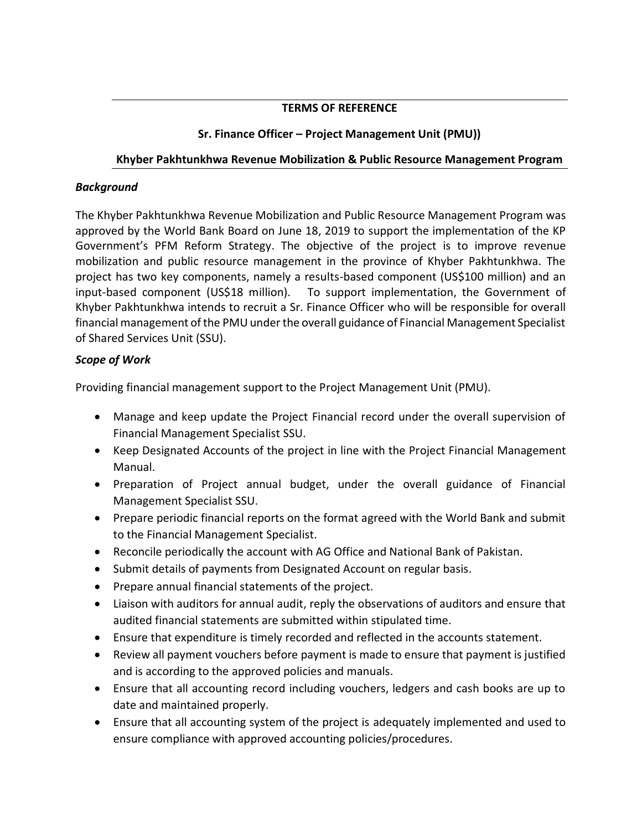## **TERMS OF REFERENCE**

## **Sr. Finance Officer – Project Management Unit (PMU))**

## **Khyber Pakhtunkhwa Revenue Mobilization & Public Resource Management Program**

## *Background*

The Khyber Pakhtunkhwa Revenue Mobilization and Public Resource Management Program was approved by the World Bank Board on June 18, 2019 to support the implementation of the KP Government's PFM Reform Strategy. The objective of the project is to improve revenue mobilization and public resource management in the province of Khyber Pakhtunkhwa. The project has two key components, namely a results-based component (US\$100 million) and an input-based component (US\$18 million). To support implementation, the Government of Khyber Pakhtunkhwa intends to recruit a Sr. Finance Officer who will be responsible for overall financial management of the PMU under the overall guidance of Financial Management Specialist of Shared Services Unit (SSU).

# *Scope of Work*

Providing financial management support to the Project Management Unit (PMU).

- Manage and keep update the Project Financial record under the overall supervision of Financial Management Specialist SSU.
- Keep Designated Accounts of the project in line with the Project Financial Management Manual.
- Preparation of Project annual budget, under the overall guidance of Financial Management Specialist SSU.
- Prepare periodic financial reports on the format agreed with the World Bank and submit to the Financial Management Specialist.
- Reconcile periodically the account with AG Office and National Bank of Pakistan.
- Submit details of payments from Designated Account on regular basis.
- Prepare annual financial statements of the project.
- Liaison with auditors for annual audit, reply the observations of auditors and ensure that audited financial statements are submitted within stipulated time.
- Ensure that expenditure is timely recorded and reflected in the accounts statement.
- Review all payment vouchers before payment is made to ensure that payment is justified and is according to the approved policies and manuals.
- Ensure that all accounting record including vouchers, ledgers and cash books are up to date and maintained properly.
- Ensure that all accounting system of the project is adequately implemented and used to ensure compliance with approved accounting policies/procedures.